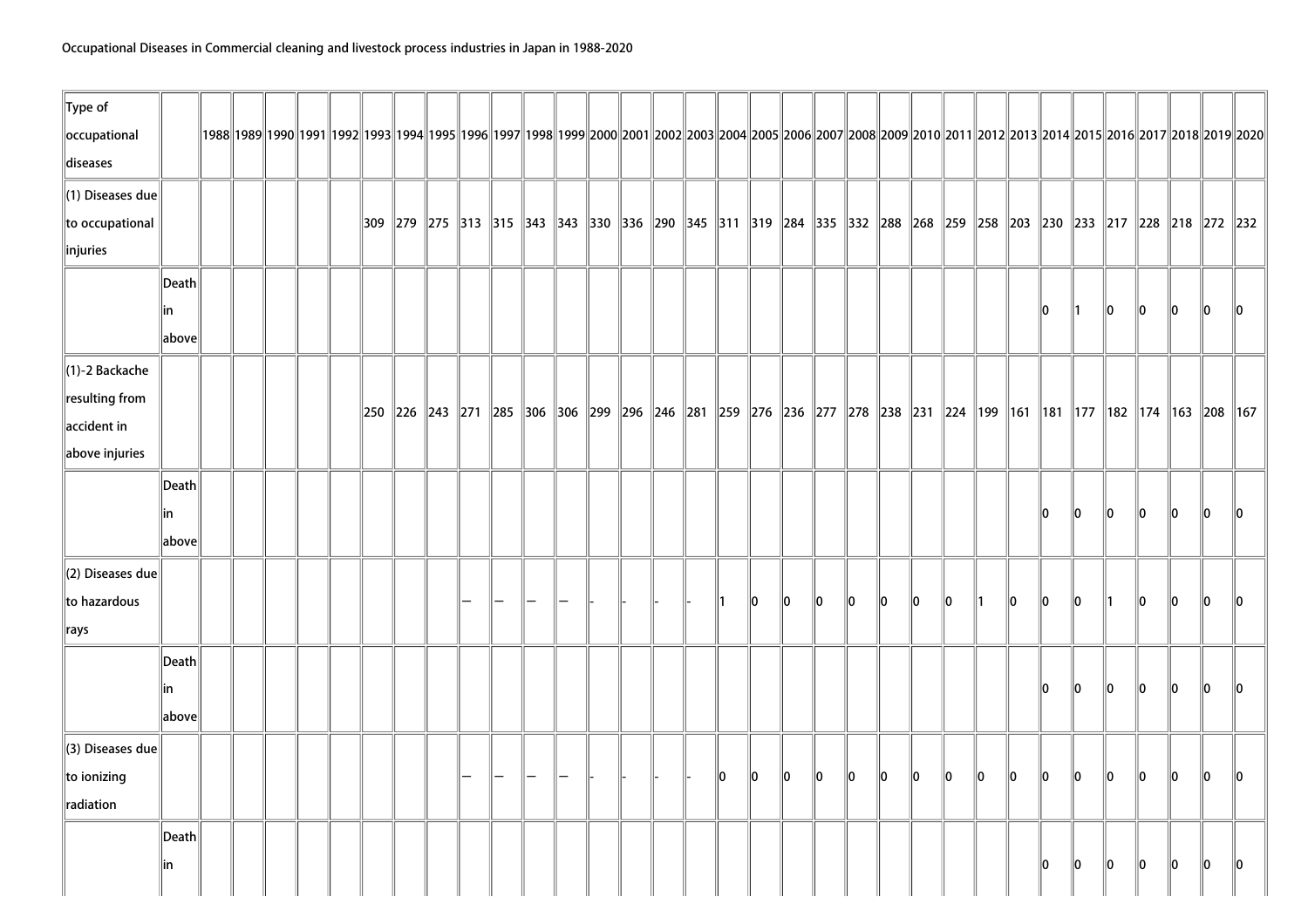| $\ $ Type of<br>occupational |                 |  |  |  |  |  |  |  |  |     |      |    |         |         |         |             |         |             |         |     |      |         |      |                                                                                                                                            |    | 1992  1992  1992  1992  1993  1994  1995  1996  1997  1998  1999  2000  2001  2002  2003  2004  2005  2006  2007  2008  2009  2010  2011  2012  2013  2014  2015  2016  2017  2018  2019 |
|------------------------------|-----------------|--|--|--|--|--|--|--|--|-----|------|----|---------|---------|---------|-------------|---------|-------------|---------|-----|------|---------|------|--------------------------------------------------------------------------------------------------------------------------------------------|----|------------------------------------------------------------------------------------------------------------------------------------------------------------------------------------------|
| diseases                     |                 |  |  |  |  |  |  |  |  |     |      |    |         |         |         |             |         |             |         |     |      |         |      |                                                                                                                                            |    |                                                                                                                                                                                          |
| $\ $ (1) Diseases due        |                 |  |  |  |  |  |  |  |  |     |      |    |         |         |         |             |         |             |         |     |      |         |      |                                                                                                                                            |    |                                                                                                                                                                                          |
| to occupational              |                 |  |  |  |  |  |  |  |  |     |      |    |         |         |         |             |         |             |         |     |      |         |      | 309  279  275  313  315  343  343  330  336  290  345  311  319  284  335  332  288  268  259  258  203  230  233  217  228  218  272  232 |    |                                                                                                                                                                                          |
| $\ $ injuries                |                 |  |  |  |  |  |  |  |  |     |      |    |         |         |         |             |         |             |         |     |      |         |      |                                                                                                                                            |    |                                                                                                                                                                                          |
|                              | Death           |  |  |  |  |  |  |  |  |     |      |    |         |         |         |             |         |             |         |     |      |         |      |                                                                                                                                            |    |                                                                                                                                                                                          |
|                              | in              |  |  |  |  |  |  |  |  |     |      |    |         |         |         |             |         |             |         | 10  |      | $\ 0\ $ | 10   | $\ 0\ $                                                                                                                                    | 10 | $\parallel 0$                                                                                                                                                                            |
|                              | above           |  |  |  |  |  |  |  |  |     |      |    |         |         |         |             |         |             |         |     |      |         |      |                                                                                                                                            |    |                                                                                                                                                                                          |
| $\ $ (1)-2 Backache          |                 |  |  |  |  |  |  |  |  |     |      |    |         |         |         |             |         |             |         |     |      |         |      |                                                                                                                                            |    |                                                                                                                                                                                          |
| resulting from               |                 |  |  |  |  |  |  |  |  |     |      |    |         |         |         |             |         |             |         |     |      |         |      | 250  226  243  271  285  306  306  299  296  246  281  259  276  236  277  278  238  231  224  199  161  181  177  182  174  163  208  167 |    |                                                                                                                                                                                          |
| $\parallel$ accident in      |                 |  |  |  |  |  |  |  |  |     |      |    |         |         |         |             |         |             |         |     |      |         |      |                                                                                                                                            |    |                                                                                                                                                                                          |
| above injuries               |                 |  |  |  |  |  |  |  |  |     |      |    |         |         |         |             |         |             |         |     |      |         |      |                                                                                                                                            |    |                                                                                                                                                                                          |
|                              | $\ $ Death $\ $ |  |  |  |  |  |  |  |  |     |      |    |         |         |         |             |         |             |         |     |      |         |      |                                                                                                                                            |    |                                                                                                                                                                                          |
|                              | lin             |  |  |  |  |  |  |  |  |     |      |    |         |         |         |             |         |             |         | l0  | llo. | llo.    | llo. | 10                                                                                                                                         | l0 |                                                                                                                                                                                          |
|                              | $\ $ above $\ $ |  |  |  |  |  |  |  |  |     |      |    |         |         |         |             |         |             |         |     |      |         |      |                                                                                                                                            |    |                                                                                                                                                                                          |
| $\parallel$ (2) Diseases due |                 |  |  |  |  |  |  |  |  |     |      |    |         |         |         |             |         |             |         |     |      |         |      |                                                                                                                                            |    |                                                                                                                                                                                          |
| $\ $ to hazardous            |                 |  |  |  |  |  |  |  |  |     | llo. | ∥0 | llo.    | ∥0      | 10      | 10          | 10      |             | llo.    | 10  | llo. | ∥1      | llo. | 10                                                                                                                                         | 10 | 110                                                                                                                                                                                      |
| $\ $ rays                    |                 |  |  |  |  |  |  |  |  |     |      |    |         |         |         |             |         |             |         |     |      |         |      |                                                                                                                                            |    |                                                                                                                                                                                          |
|                              | Death           |  |  |  |  |  |  |  |  |     |      |    |         |         |         |             |         |             |         |     |      |         |      |                                                                                                                                            |    |                                                                                                                                                                                          |
|                              | in              |  |  |  |  |  |  |  |  |     |      |    |         |         |         |             |         |             |         | ll0 | 10   | 10      | 10   | 10                                                                                                                                         | 10 | $\mathsf{I}$ 10                                                                                                                                                                          |
|                              | above           |  |  |  |  |  |  |  |  |     |      |    |         |         |         |             |         |             |         |     |      |         |      |                                                                                                                                            |    |                                                                                                                                                                                          |
| $\parallel$ (3) Diseases due |                 |  |  |  |  |  |  |  |  |     |      |    |         |         |         |             |         |             |         |     |      |         |      |                                                                                                                                            |    |                                                                                                                                                                                          |
| to ionizing                  |                 |  |  |  |  |  |  |  |  | lo. | 10   | 10 | $\ 0\ $ | $\ 0\ $ | $\ 0\ $ | $ 0\rangle$ | $\ 0\ $ | $ 0\rangle$ | $\ 0\ $ | 10  | 10   | 10      | 10   | $\ 0\ $                                                                                                                                    | 10 | 10                                                                                                                                                                                       |
| radiation                    |                 |  |  |  |  |  |  |  |  |     |      |    |         |         |         |             |         |             |         |     |      |         |      |                                                                                                                                            |    |                                                                                                                                                                                          |
|                              | Death           |  |  |  |  |  |  |  |  |     |      |    |         |         |         |             |         |             |         |     |      |         |      |                                                                                                                                            |    |                                                                                                                                                                                          |
|                              | in              |  |  |  |  |  |  |  |  |     |      |    |         |         |         |             |         |             |         | 10  | 10   | 10      | 10   | 10                                                                                                                                         | 10 | 10                                                                                                                                                                                       |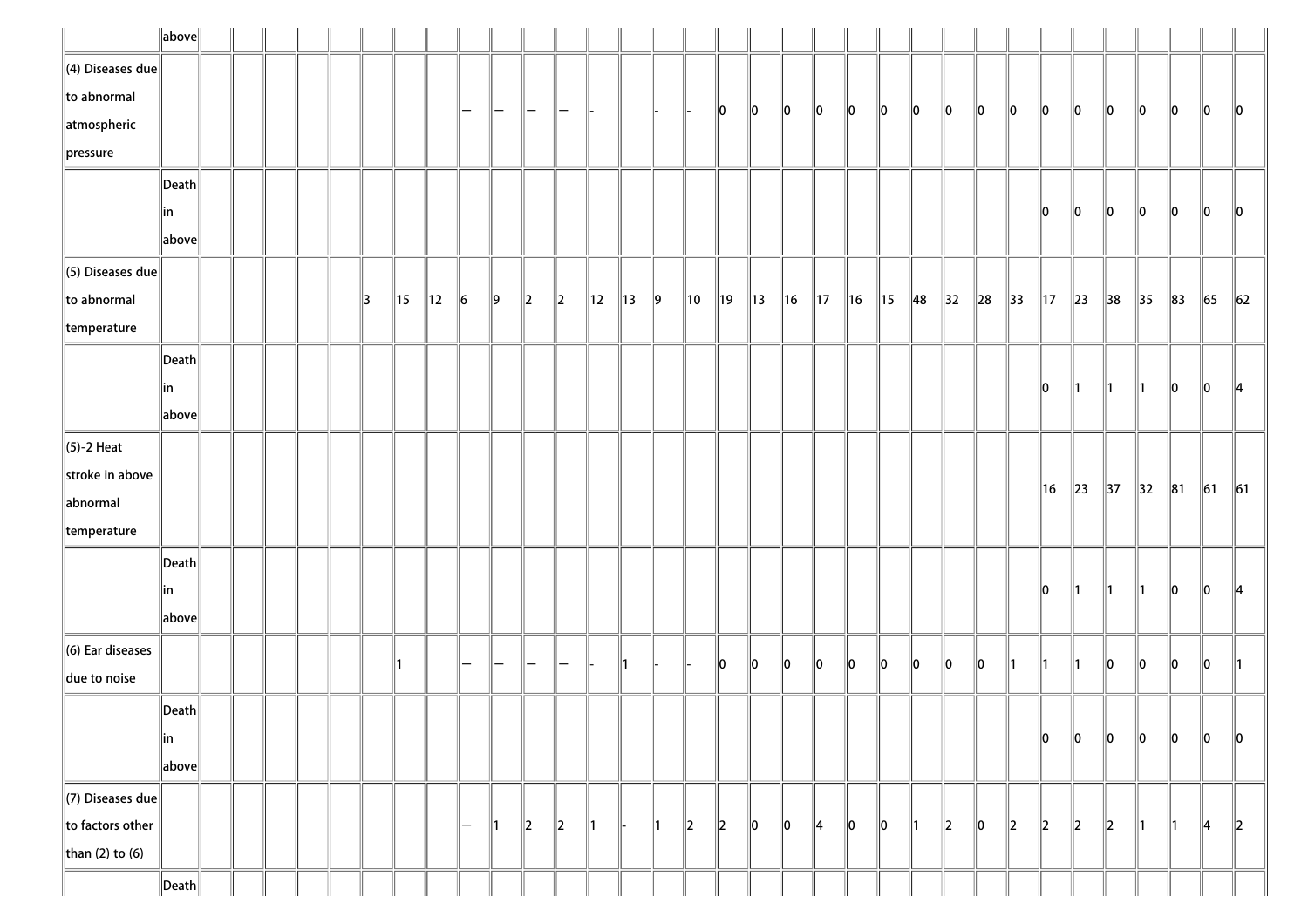|                          | $\ $ above $\ $       |  |  |    |                |                |         |                   |                 |               |                |                |               |                |                |                |                |                |         |                |                |                |          |                |                |                |                |                |          |         |               |
|--------------------------|-----------------------|--|--|----|----------------|----------------|---------|-------------------|-----------------|---------------|----------------|----------------|---------------|----------------|----------------|----------------|----------------|----------------|---------|----------------|----------------|----------------|----------|----------------|----------------|----------------|----------------|----------------|----------|---------|---------------|
| $\ $ (4) Diseases due    |                       |  |  |    |                |                |         |                   |                 |               |                |                |               |                |                |                |                |                |         |                |                |                |          |                |                |                |                |                |          |         |               |
| $\ $ to abnormal         |                       |  |  |    |                |                | -       | $\qquad \qquad -$ | $\qquad \qquad$ |               |                |                |               |                | 10             | 10             | $\ 0\ $        | 10             | 10      | 10             | 10             | 10             | 10       | 10             | 10             | 10             | 10             | 10             | 10       | 10      | $\ 0\ $       |
| atmospheric              |                       |  |  |    |                |                |         |                   |                 |               |                |                |               |                |                |                |                |                |         |                |                |                |          |                |                |                |                |                |          |         |               |
| $\ $ pressure            |                       |  |  |    |                |                |         |                   |                 |               |                |                |               |                |                |                |                |                |         |                |                |                |          |                |                |                |                |                |          |         |               |
|                          | $\vert$ Death $\vert$ |  |  |    |                |                |         |                   |                 |               |                |                |               |                |                |                |                |                |         |                |                |                |          |                |                |                |                |                |          |         |               |
|                          | in                    |  |  |    |                |                |         |                   |                 |               |                |                |               |                |                |                |                |                |         |                |                |                |          |                | 10             | 10             | 10             | 10             | 10       | 10      | 10            |
|                          | above                 |  |  |    |                |                |         |                   |                 |               |                |                |               |                |                |                |                |                |         |                |                |                |          |                |                |                |                |                |          |         |               |
| $\ $ (5) Diseases due    |                       |  |  |    |                |                |         |                   |                 |               |                |                |               |                |                |                |                |                |         |                |                |                |          |                |                |                |                |                |          |         |               |
| $\ $ to abnormal         |                       |  |  | 13 | $\parallel$ 15 | $\parallel$ 12 | $\ 6\ $ | $\parallel$ 9     | $\ 2\ $         | $\ 2\ $       | $\parallel$ 12 | $\parallel$ 13 | $\vert$ 9     | $\parallel$ 10 | $\parallel$ 19 | $\parallel$ 13 | $\parallel$ 16 | $\parallel$ 17 | $\ $ 16 | $\parallel$ 15 | $\parallel$ 48 | $\parallel$ 32 | $\ 28\ $ | $\parallel$ 33 | $\parallel$ 17 | $\parallel$ 23 | $\parallel$ 38 | $\parallel$ 35 | $\ 83\ $ | $\ $ 65 | $\ 62$        |
| $\parallel$ temperature  |                       |  |  |    |                |                |         |                   |                 |               |                |                |               |                |                |                |                |                |         |                |                |                |          |                |                |                |                |                |          |         |               |
|                          | $\vert$ Death $\vert$ |  |  |    |                |                |         |                   |                 |               |                |                |               |                |                |                |                |                |         |                |                |                |          |                |                |                |                |                |          |         |               |
|                          | in                    |  |  |    |                |                |         |                   |                 |               |                |                |               |                |                |                |                |                |         |                |                |                |          |                | 10             |                | 11             |                | 10       | 10      | $\parallel$ 4 |
|                          | above                 |  |  |    |                |                |         |                   |                 |               |                |                |               |                |                |                |                |                |         |                |                |                |          |                |                |                |                |                |          |         |               |
| $\ $ (5)-2 Heat          |                       |  |  |    |                |                |         |                   |                 |               |                |                |               |                |                |                |                |                |         |                |                |                |          |                |                |                |                |                |          |         |               |
| stroke in above          |                       |  |  |    |                |                |         |                   |                 |               |                |                |               |                |                |                |                |                |         |                |                |                |          |                | 16             | $\ 23\ $       | $\parallel$ 37 | $\parallel$ 32 | $\ 81$   | $\ 61$  | $\ 61$        |
| abnormal                 |                       |  |  |    |                |                |         |                   |                 |               |                |                |               |                |                |                |                |                |         |                |                |                |          |                |                |                |                |                |          |         |               |
| $\parallel$ temperature  |                       |  |  |    |                |                |         |                   |                 |               |                |                |               |                |                |                |                |                |         |                |                |                |          |                |                |                |                |                |          |         |               |
|                          | $\vert$ Death $\vert$ |  |  |    |                |                |         |                   |                 |               |                |                |               |                |                |                |                |                |         |                |                |                |          |                |                |                |                |                |          |         |               |
|                          | in                    |  |  |    |                |                |         |                   |                 |               |                |                |               |                |                |                |                |                |         |                |                |                |          |                | 10             | ∥1             | 11             |                | 10       | 10      | 14            |
|                          | above                 |  |  |    |                |                |         |                   |                 |               |                |                |               |                |                |                |                |                |         |                |                |                |          |                |                |                |                |                |          |         |               |
| $\ $ (6) Ear diseases    |                       |  |  |    |                |                |         |                   |                 |               |                |                |               |                |                |                |                |                |         |                |                |                |          |                |                |                |                |                |          |         |               |
| due to noise             |                       |  |  |    |                |                |         |                   |                 | -             |                | ∥1             |               |                | 10             | 10             | $\ 0\ $        | 10             | 10      | 10             | 10             | 10             | 10       |                |                |                | 10             | 10             | 10       | 10      | ∥1            |
|                          | $\ $ Death $\ $       |  |  |    |                |                |         |                   |                 |               |                |                |               |                |                |                |                |                |         |                |                |                |          |                |                |                |                |                |          |         |               |
|                          | ∥in                   |  |  |    |                |                |         |                   |                 |               |                |                |               |                |                |                |                |                |         |                |                |                |          |                | 10             | $\ 0\ $        | $\ 0\ $        | 10             | 10       | 10      | 10            |
|                          | above                 |  |  |    |                |                |         |                   |                 |               |                |                |               |                |                |                |                |                |         |                |                |                |          |                |                |                |                |                |          |         |               |
| $\Vert$ (7) Diseases due |                       |  |  |    |                |                |         |                   |                 |               |                |                |               |                |                |                |                |                |         |                |                |                |          |                |                |                |                |                |          |         |               |
| $\ $ to factors other    |                       |  |  |    |                |                | -       | $\mathbb{I}1$     | $\parallel$ 2   | $\parallel$ 2 | ∥1 ⊹           | II-            | $\parallel$ 1 | $\ 2\ $        | $\parallel$ 2  | 10             | $\ 0\ $        | ∥4             | 10      | 10             | ∥1             | $\parallel$ 2  | 10       | $\parallel$ 2  | $ 2\rangle$    | $\ 2\ $        | $\ 2\ $        | 11.            | 11       | 14      | $\ 2\ $       |
| than (2) to (6)          |                       |  |  |    |                |                |         |                   |                 |               |                |                |               |                |                |                |                |                |         |                |                |                |          |                |                |                |                |                |          |         |               |
|                          | $\ $ Death $\ $       |  |  |    |                |                |         |                   |                 |               |                |                |               |                |                |                |                |                |         |                |                |                |          |                |                |                |                |                |          |         |               |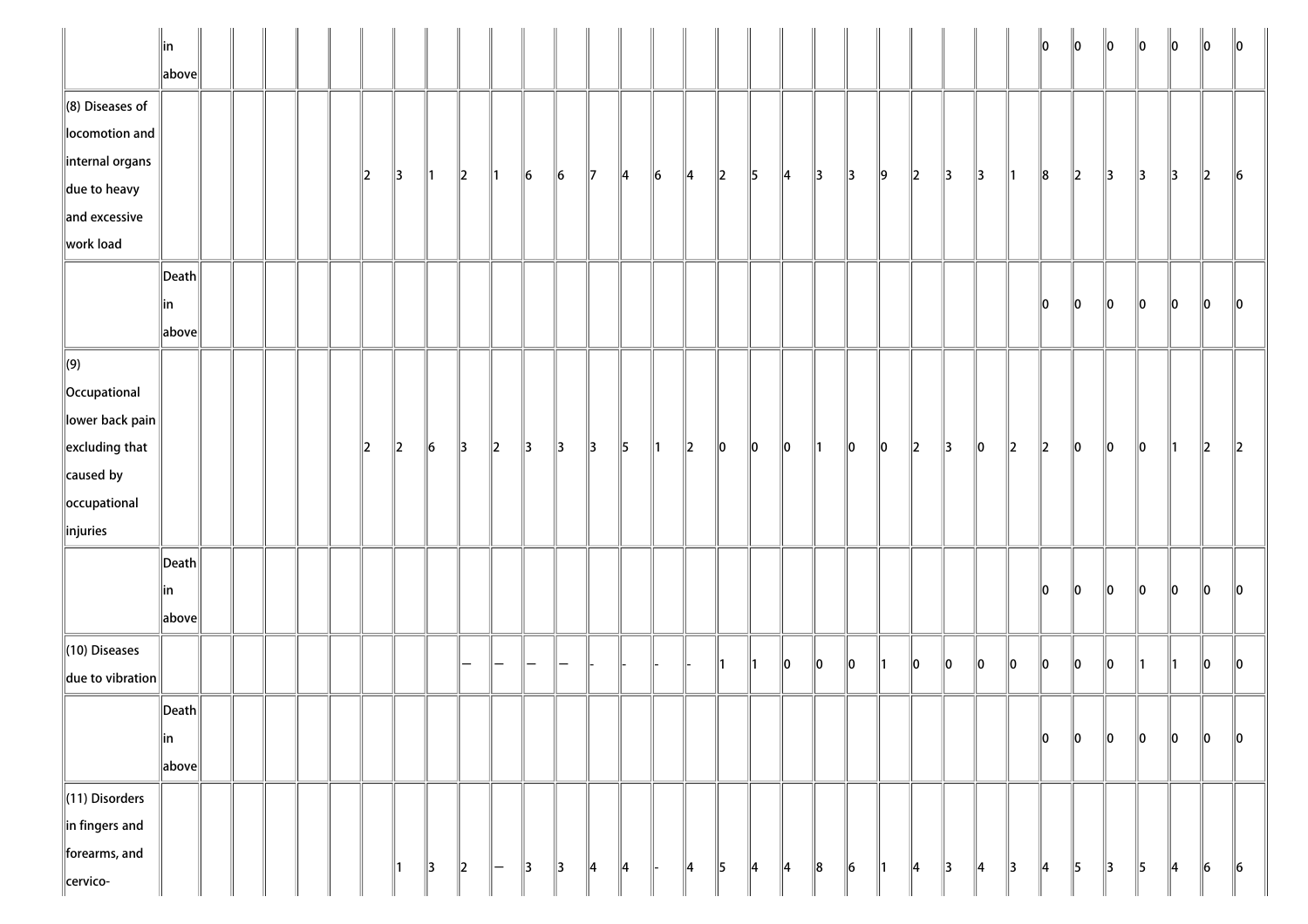|                                                | $\ $ in<br>above      |  |  |         |               |               |               |               |               |               |               |               |               |               |             |               |               |               |    |    |    |    |               |         | 10            | 10            | $\ 0\ $       | 10            | $\parallel$ 0 | 10      | $\parallel$ 0 |
|------------------------------------------------|-----------------------|--|--|---------|---------------|---------------|---------------|---------------|---------------|---------------|---------------|---------------|---------------|---------------|-------------|---------------|---------------|---------------|----|----|----|----|---------------|---------|---------------|---------------|---------------|---------------|---------------|---------|---------------|
| $\ $ (8) Diseases of<br>locomotion and         |                       |  |  |         |               |               |               |               |               |               |               |               |               |               |             |               |               |               |    |    |    |    |               |         |               |               |               |               |               |         |               |
| internal organs                                |                       |  |  | $\ 2\ $ | $\parallel$ 3 | ∥1            | $\ 2\ $       | $\parallel$ 1 | $\vert$ 6     | $\ 6\ $       | $\mathbb{I}$  | 14            | $\vert$ 6     | $\parallel$ 4 | $\vert$ 2   | 5             | $\parallel$ 4 | 3             | 13 | ∥9 | 2  | 3  | 3             | ∥1      | 8             | $\ 2\ $       | 3             | 3             | 3             | 2       | 6             |
| $\parallel$ due to heavy<br>$\ $ and excessive |                       |  |  |         |               |               |               |               |               |               |               |               |               |               |             |               |               |               |    |    |    |    |               |         |               |               |               |               |               |         |               |
| work load                                      |                       |  |  |         |               |               |               |               |               |               |               |               |               |               |             |               |               |               |    |    |    |    |               |         |               |               |               |               |               |         |               |
|                                                | $ \mathsf{Death} $    |  |  |         |               |               |               |               |               |               |               |               |               |               |             |               |               |               |    |    |    |    |               |         |               |               |               |               |               |         |               |
|                                                | in                    |  |  |         |               |               |               |               |               |               |               |               |               |               |             |               |               |               |    |    |    |    |               |         | 10            | 10            | 10            | 10            | 10            | 10      | 10            |
|                                                | above                 |  |  |         |               |               |               |               |               |               |               |               |               |               |             |               |               |               |    |    |    |    |               |         |               |               |               |               |               |         |               |
| $\Vert(9)$                                     |                       |  |  |         |               |               |               |               |               |               |               |               |               |               |             |               |               |               |    |    |    |    |               |         |               |               |               |               |               |         |               |
| Occupational                                   |                       |  |  |         |               |               |               |               |               |               |               |               |               |               |             |               |               |               |    |    |    |    |               |         |               |               |               |               |               |         |               |
| lower back pain                                |                       |  |  |         |               |               |               |               |               |               |               |               |               |               |             |               |               |               |    |    |    |    |               |         |               |               |               |               |               |         |               |
| $\left\ $ excluding that                       |                       |  |  | $\ 2\ $ | $\ 2\ $       | $\ 6\ $       | $\parallel$ 3 | $\parallel$ 2 | $\parallel$ 3 | $\parallel$ 3 | $\parallel$ 3 | $\parallel$ 5 | $\parallel$ 1 | $\ 2\ $       | $\ 0\ $     | 10            | $\ 0\ $       | $\parallel$ 1 | 10 | 10 | 2  | 13 | 10            | $\ 2\ $ | $\ 2\ $       | $\ 0\ $       | $\ 0\ $       | 10            | 11            | $\ 2\ $ | $\ 2\ $       |
| $\ $ caused by                                 |                       |  |  |         |               |               |               |               |               |               |               |               |               |               |             |               |               |               |    |    |    |    |               |         |               |               |               |               |               |         |               |
| occupational                                   |                       |  |  |         |               |               |               |               |               |               |               |               |               |               |             |               |               |               |    |    |    |    |               |         |               |               |               |               |               |         |               |
| $\ $ injuries                                  |                       |  |  |         |               |               |               |               |               |               |               |               |               |               |             |               |               |               |    |    |    |    |               |         |               |               |               |               |               |         |               |
|                                                | $\vert$ Death $\vert$ |  |  |         |               |               |               |               |               |               |               |               |               |               |             |               |               |               |    |    |    |    |               |         |               |               |               |               |               |         |               |
|                                                | in                    |  |  |         |               |               |               |               |               |               |               |               |               |               |             |               |               |               |    |    |    |    |               |         | 10            | 10            | 10            | 10            | 10            | 10      | 10            |
|                                                | $\ $ above $\ $       |  |  |         |               |               |               |               |               |               |               |               |               |               |             |               |               |               |    |    |    |    |               |         |               |               |               |               |               |         |               |
| $\ $ (10) Diseases                             |                       |  |  |         |               |               |               |               |               | -             |               |               |               |               | ∥1          | ∥1            | $\ 0\ $       | 10            | 10 | 11 | 10 | 10 | 10            | 10      | llo           | ∥o            | $\ 0\ $       | 11            |               | 10      | $\ 0\ $       |
| $\ $ due to vibration                          |                       |  |  |         |               |               |               |               |               |               |               |               |               |               |             |               |               |               |    |    |    |    |               |         |               |               |               |               |               |         |               |
|                                                | $\ $ Death $\ $       |  |  |         |               |               |               |               |               |               |               |               |               |               |             |               |               |               |    |    |    |    |               |         |               |               |               |               |               |         |               |
|                                                | ∥in                   |  |  |         |               |               |               |               |               |               |               |               |               |               |             |               |               |               |    |    |    |    |               |         | 10            | 0             | $\ 0\ $       | 10            | 10            | 10      | 10            |
|                                                | above                 |  |  |         |               |               |               |               |               |               |               |               |               |               |             |               |               |               |    |    |    |    |               |         |               |               |               |               |               |         |               |
| $\ $ (11) Disorders                            |                       |  |  |         |               |               |               |               |               |               |               |               |               |               |             |               |               |               |    |    |    |    |               |         |               |               |               |               |               |         |               |
| $\ $ in fingers and                            |                       |  |  |         |               |               |               |               |               |               |               |               |               |               |             |               |               |               |    |    |    |    |               |         |               |               |               |               |               |         |               |
| forearms, and                                  |                       |  |  |         | 11            | $\parallel$ 3 | $\vert$ 2     | $\parallel -$ | $\parallel$ 3 | $\parallel$ 3 | ∥4            | $\parallel$ 4 | H-            | $\parallel$ 4 | $\parallel$ | $\parallel$ 4 | 4             | $\ 8$         | 6  | 1  | 4  | 3  | $\parallel$ 4 | 3       | $\parallel$ 4 | $\parallel$ 5 | $\parallel$ 3 | $\parallel$ 5 | 4             | 6       | $\ 6\ $       |
| cervico-                                       |                       |  |  |         |               |               |               |               |               |               |               |               |               |               |             |               |               |               |    |    |    |    |               |         |               |               |               |               |               |         |               |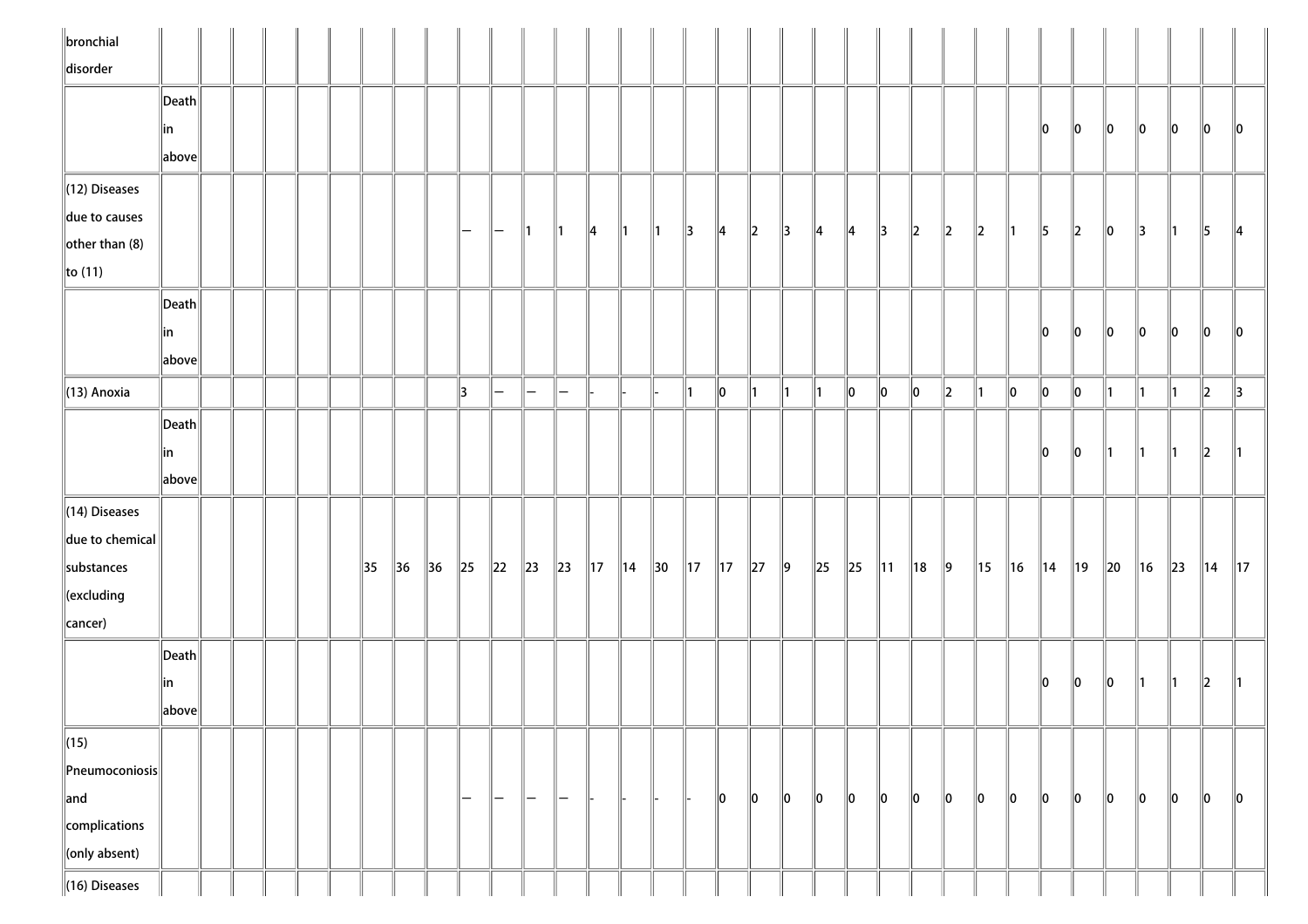| $\ $ bronchial              |                                      |  |  |                |                |                |                                 |                          |               |                   |                |                |                |                |                |               |               |               |               |                |           |               |                |         |                |         |          |     |          |               |                 |
|-----------------------------|--------------------------------------|--|--|----------------|----------------|----------------|---------------------------------|--------------------------|---------------|-------------------|----------------|----------------|----------------|----------------|----------------|---------------|---------------|---------------|---------------|----------------|-----------|---------------|----------------|---------|----------------|---------|----------|-----|----------|---------------|-----------------|
| disorder                    |                                      |  |  |                |                |                |                                 |                          |               |                   |                |                |                |                |                |               |               |               |               |                |           |               |                |         |                |         |          |     |          |               |                 |
|                             | $\vert$ Death $\vert$                |  |  |                |                |                |                                 |                          |               |                   |                |                |                |                |                |               |               |               |               |                |           |               |                |         |                |         |          |     |          |               |                 |
|                             | ∥in                                  |  |  |                |                |                |                                 |                          |               |                   |                |                |                |                |                |               |               |               |               |                |           |               |                |         | 10             | 10      | 10       | 10  | 10       | 10            | $\mathsf{I}$ lo |
|                             | above                                |  |  |                |                |                |                                 |                          |               |                   |                |                |                |                |                |               |               |               |               |                |           |               |                |         |                |         |          |     |          |               |                 |
| $\ $ (12) Diseases          |                                      |  |  |                |                |                |                                 |                          |               |                   |                |                |                |                |                |               |               |               |               |                |           |               |                |         |                |         |          |     |          |               |                 |
| due to causes               |                                      |  |  |                |                |                |                                 |                          |               |                   |                |                |                |                |                |               |               |               |               |                |           |               |                |         |                |         |          |     |          |               |                 |
| $\left\Vert$ other than (8) |                                      |  |  |                |                |                | $\hspace{0.1mm}-\hspace{0.1mm}$ | $-$                      | $\mathsf{I}$  | $\parallel$ 1     | $\parallel$ 4  | $\parallel$ 1  | $\parallel$ 1  | $\parallel$ 3  | $\parallel$ 4  | $\ 2\ $       | $\parallel$ 3 | $\parallel$ 4 | $\parallel$ 4 | $\parallel$ 3  | $\vert$ 2 | $\parallel$ 2 | $\ 2\ $        | ∥1      | 5              | $\ 2\ $ | 10       | 13  | ľ1       | 15            | 14              |
| $\ $ to (11)                |                                      |  |  |                |                |                |                                 |                          |               |                   |                |                |                |                |                |               |               |               |               |                |           |               |                |         |                |         |          |     |          |               |                 |
|                             | $\ $ Death $\ $                      |  |  |                |                |                |                                 |                          |               |                   |                |                |                |                |                |               |               |               |               |                |           |               |                |         |                |         |          |     |          |               |                 |
|                             | in                                   |  |  |                |                |                |                                 |                          |               |                   |                |                |                |                |                |               |               |               |               |                |           |               |                |         | 10             | 10      | 10       | 10  | 10       | 10            | 10              |
|                             | $\left\Vert \text{above}\right\Vert$ |  |  |                |                |                |                                 |                          |               |                   |                |                |                |                |                |               |               |               |               |                |           |               |                |         |                |         |          |     |          |               |                 |
| $\parallel$ (13) Anoxia     |                                      |  |  |                |                |                | $\parallel$ 3                   | $\overline{\phantom{0}}$ | $\overline{}$ | $\equiv$          |                |                |                | $\parallel$ 1  | $\ 0\ $        | $\parallel$ 1 | $\parallel$ 1 | $\parallel$ 1 | $ 0\rangle$   | $\ 0\ $        | $\ 0\ $   | $\ 2\ $       | 11             | $\ 0\ $ | $\ 0\ $        | $\ 0\ $ | 11       | 11. | ∥1       | $\ 2\ $       | $\parallel$ 3   |
|                             | Death                                |  |  |                |                |                |                                 |                          |               |                   |                |                |                |                |                |               |               |               |               |                |           |               |                |         |                |         |          |     |          |               |                 |
|                             | ∥in                                  |  |  |                |                |                |                                 |                          |               |                   |                |                |                |                |                |               |               |               |               |                |           |               |                |         | llo.           | 10      |          |     |          | $\parallel$ 2 |                 |
|                             | above                                |  |  |                |                |                |                                 |                          |               |                   |                |                |                |                |                |               |               |               |               |                |           |               |                |         |                |         |          |     |          |               |                 |
|                             |                                      |  |  |                |                |                |                                 |                          |               |                   |                |                |                |                |                |               |               |               |               |                |           |               |                |         |                |         |          |     |          |               |                 |
| $\parallel$ (14) Diseases   |                                      |  |  |                |                |                |                                 |                          |               |                   |                |                |                |                |                |               |               |               |               |                |           |               |                |         |                |         |          |     |          |               |                 |
| $\ $ due to chemical        |                                      |  |  |                |                |                |                                 |                          |               |                   |                |                |                |                |                |               |               |               |               |                |           |               |                |         |                |         |          |     |          |               |                 |
| substances                  |                                      |  |  | $\parallel$ 35 | $\parallel$ 36 | $\parallel$ 36 | $\ 25\ $                        | $\ 22\ $                 | $\ 23\ $      | $\ 23\ $          | $\parallel$ 17 | $\parallel$ 14 | $\parallel$ 30 | $\parallel$ 17 | $\parallel$ 17 | $\ 27\ $      | $\ 9\ $       | $\ 25$        | $\ 25\ $      | $\parallel$ 11 | 18        | $\parallel$ 9 | $\parallel$ 15 | 16      | $\parallel$ 14 | ∥19     | $\ 20\ $ | 16  | $\ 23\ $ | ∥14           | $\parallel$ 17  |
| $\ $ (excluding             |                                      |  |  |                |                |                |                                 |                          |               |                   |                |                |                |                |                |               |               |               |               |                |           |               |                |         |                |         |          |     |          |               |                 |
| cancer)                     |                                      |  |  |                |                |                |                                 |                          |               |                   |                |                |                |                |                |               |               |               |               |                |           |               |                |         |                |         |          |     |          |               |                 |
|                             | $\vert$ Death $\vert$                |  |  |                |                |                |                                 |                          |               |                   |                |                |                |                |                |               |               |               |               |                |           |               |                |         |                |         |          |     |          |               |                 |
|                             | in                                   |  |  |                |                |                |                                 |                          |               |                   |                |                |                |                |                |               |               |               |               |                |           |               |                |         | 10             | 10      | 10       |     |          | 12            |                 |
|                             | above                                |  |  |                |                |                |                                 |                          |               |                   |                |                |                |                |                |               |               |               |               |                |           |               |                |         |                |         |          |     |          |               |                 |
| $\ $ (15)                   |                                      |  |  |                |                |                |                                 |                          |               |                   |                |                |                |                |                |               |               |               |               |                |           |               |                |         |                |         |          |     |          |               |                 |
| $\ $ Pneumoconiosis $\ $    |                                      |  |  |                |                |                |                                 |                          |               |                   |                |                |                |                |                |               |               |               |               |                |           |               |                |         |                |         |          |     |          |               |                 |
| $\ $ and                    |                                      |  |  |                |                |                | -                               | —                        | $\overline{}$ | $\qquad \qquad -$ |                |                |                |                | $\ 0\ $        | $\ 0\ $       | 0             | $\ 0\ $       | $\ 0\ $       | 10             | 10        | $\ 0\ $       | 10             | $\ 0\ $ | 10             | 10      | 10       | 10  | 10       | 10            | $\ 0\ $         |
| complications               |                                      |  |  |                |                |                |                                 |                          |               |                   |                |                |                |                |                |               |               |               |               |                |           |               |                |         |                |         |          |     |          |               |                 |
| $\ $ (only absent)          |                                      |  |  |                |                |                |                                 |                          |               |                   |                |                |                |                |                |               |               |               |               |                |           |               |                |         |                |         |          |     |          |               |                 |
| $\parallel$ (16) Diseases   |                                      |  |  |                |                |                |                                 |                          |               |                   |                |                |                |                |                |               |               |               |               |                |           |               |                |         |                |         |          |     |          |               |                 |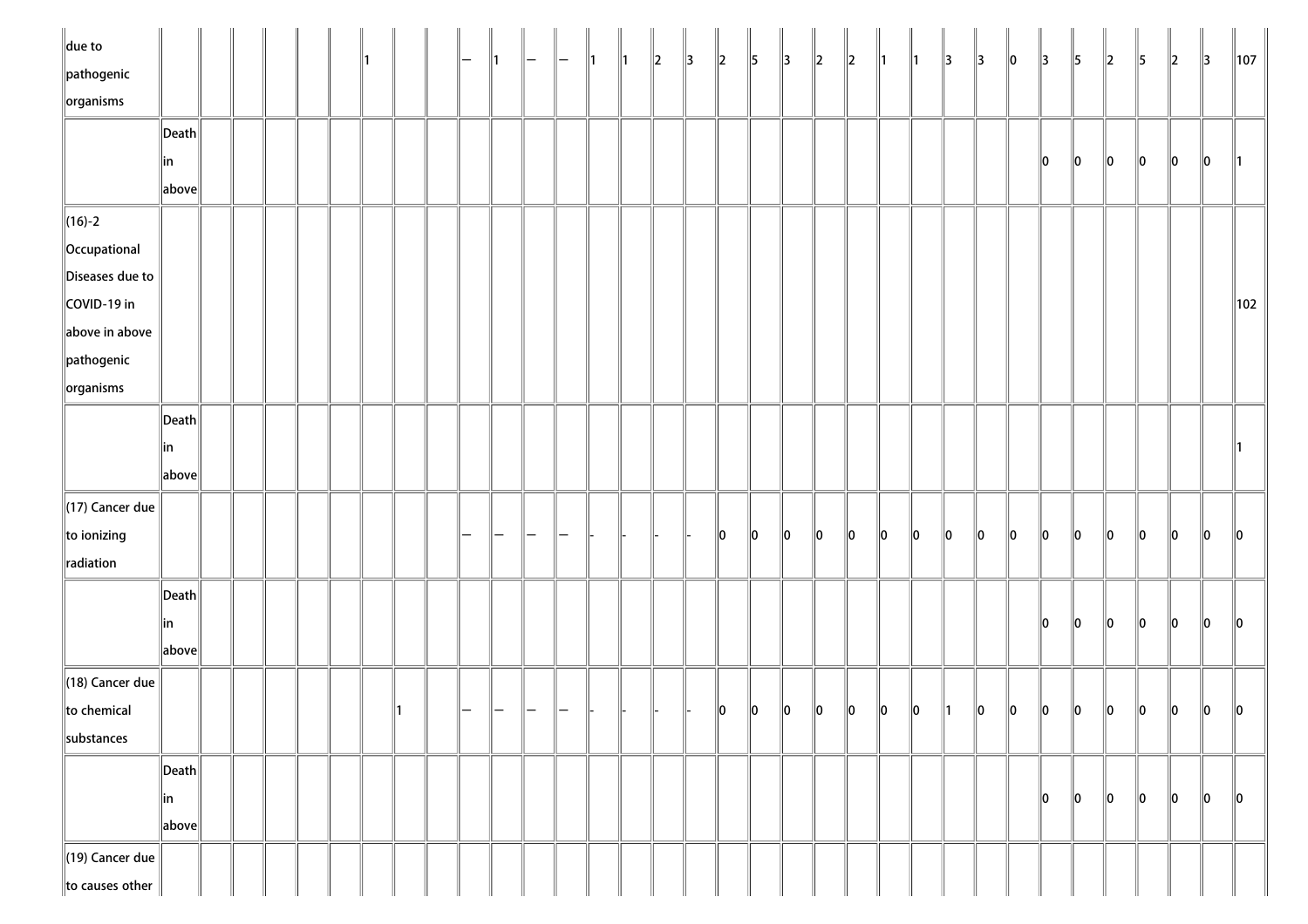| $\ $ due to                     |                                        |  |  |  |  | ∥1 | $\overline{}$ | $\parallel$ 1 | $\parallel$ 1 | $\ 2\ $ | $\parallel$ 3 | $\ 2\ $ | $\parallel$ 5 | $\parallel$ 3 | $\parallel$ <sub>2</sub> | $\ 2\ $ | ∥1      | $\parallel$ 1 | $\parallel$ 3 | $\parallel$ 3 | $\ 0\ $ | $\parallel$ 3 | 5  | $\ 2\ $ | $\parallel$ 5 | $\ 2\ $ | $\parallel$ 3 | $\parallel$ 107 |
|---------------------------------|----------------------------------------|--|--|--|--|----|---------------|---------------|---------------|---------|---------------|---------|---------------|---------------|--------------------------|---------|---------|---------------|---------------|---------------|---------|---------------|----|---------|---------------|---------|---------------|-----------------|
| $\parallel$ pathogenic          |                                        |  |  |  |  |    |               |               |               |         |               |         |               |               |                          |         |         |               |               |               |         |               |    |         |               |         |               |                 |
| $\sqrt{\frac{1}{10}}$ organisms |                                        |  |  |  |  |    |               |               |               |         |               |         |               |               |                          |         |         |               |               |               |         |               |    |         |               |         |               |                 |
|                                 | $\left\Vert \mathsf{Death}\right\Vert$ |  |  |  |  |    |               |               |               |         |               |         |               |               |                          |         |         |               |               |               |         |               |    |         |               |         |               |                 |
|                                 | ∥in                                    |  |  |  |  |    |               |               |               |         |               |         |               |               |                          |         |         |               |               |               |         | 10            | 10 | 10      | $\ 0\ $       | 10      | 10            |                 |
|                                 | $\ $ above $\ $                        |  |  |  |  |    |               |               |               |         |               |         |               |               |                          |         |         |               |               |               |         |               |    |         |               |         |               |                 |
| $\ $ (16)-2                     |                                        |  |  |  |  |    |               |               |               |         |               |         |               |               |                          |         |         |               |               |               |         |               |    |         |               |         |               |                 |
| Occupational                    |                                        |  |  |  |  |    |               |               |               |         |               |         |               |               |                          |         |         |               |               |               |         |               |    |         |               |         |               |                 |
| Diseases due to                 |                                        |  |  |  |  |    |               |               |               |         |               |         |               |               |                          |         |         |               |               |               |         |               |    |         |               |         |               |                 |
| COVID-19 in                     |                                        |  |  |  |  |    |               |               |               |         |               |         |               |               |                          |         |         |               |               |               |         |               |    |         |               |         |               | 102             |
| above in above                  |                                        |  |  |  |  |    |               |               |               |         |               |         |               |               |                          |         |         |               |               |               |         |               |    |         |               |         |               |                 |
| $\ $ pathogenic                 |                                        |  |  |  |  |    |               |               |               |         |               |         |               |               |                          |         |         |               |               |               |         |               |    |         |               |         |               |                 |
| $\ $ organisms                  |                                        |  |  |  |  |    |               |               |               |         |               |         |               |               |                          |         |         |               |               |               |         |               |    |         |               |         |               |                 |
|                                 | $\ $ Death $\ $                        |  |  |  |  |    |               |               |               |         |               |         |               |               |                          |         |         |               |               |               |         |               |    |         |               |         |               |                 |
|                                 | in                                     |  |  |  |  |    |               |               |               |         |               |         |               |               |                          |         |         |               |               |               |         |               |    |         |               |         |               |                 |
|                                 | $\ $ above $\ $                        |  |  |  |  |    |               |               |               |         |               |         |               |               |                          |         |         |               |               |               |         |               |    |         |               |         |               |                 |
|                                 |                                        |  |  |  |  |    |               |               |               |         |               |         |               |               |                          |         |         |               |               |               |         |               |    |         |               |         |               |                 |
| $\parallel$ (17) Cancer due     |                                        |  |  |  |  |    |               |               |               |         |               |         |               |               |                          |         |         |               |               |               |         |               |    |         |               |         |               |                 |
| $\ $ to ionizing                |                                        |  |  |  |  |    |               |               |               |         |               | 10      | $ 0\rangle$   | $\ 0\ $       | $\ 0\ $                  | $\ 0\ $ | $\ 0\ $ | 10            | $\ 0\ $       | 10            | $\ 0\ $ | 10            | 10 | 10      | 10            | $\ 0\ $ | llo           | 10              |
| radiation                       |                                        |  |  |  |  |    |               |               |               |         |               |         |               |               |                          |         |         |               |               |               |         |               |    |         |               |         |               |                 |
|                                 | $\vert$ Death $\vert$                  |  |  |  |  |    |               |               |               |         |               |         |               |               |                          |         |         |               |               |               |         |               |    |         |               |         |               |                 |
|                                 | in                                     |  |  |  |  |    |               |               |               |         |               |         |               |               |                          |         |         |               |               |               |         | llo.          | 10 | 10      | llo           | 10      | 10            | 10              |
|                                 | $\ $ above $\ $                        |  |  |  |  |    |               |               |               |         |               |         |               |               |                          |         |         |               |               |               |         |               |    |         |               |         |               |                 |
| $\parallel$ (18) Cancer due     |                                        |  |  |  |  |    |               |               |               |         |               |         |               |               |                          |         |         |               |               |               |         |               |    |         |               |         |               |                 |
| to chemical                     |                                        |  |  |  |  |    |               |               |               |         |               | $\ 0\ $ | $\ 0\ $       | $ 0\rangle$   | $\ 0\ $                  | 10      | 10      | 10            |               | 10            | 10      | 10            | 10 | 10      | 10            | 10      | $\ 0\ $       | 10              |
| substances                      |                                        |  |  |  |  |    |               |               |               |         |               |         |               |               |                          |         |         |               |               |               |         |               |    |         |               |         |               |                 |
|                                 | Death                                  |  |  |  |  |    |               |               |               |         |               |         |               |               |                          |         |         |               |               |               |         |               |    |         |               |         |               |                 |
|                                 | in                                     |  |  |  |  |    |               |               |               |         |               |         |               |               |                          |         |         |               |               |               |         | 10            | 10 | 10      | 10            | $\ 0\ $ | 10            | $\ 0\ $         |
|                                 | above                                  |  |  |  |  |    |               |               |               |         |               |         |               |               |                          |         |         |               |               |               |         |               |    |         |               |         |               |                 |
|                                 |                                        |  |  |  |  |    |               |               |               |         |               |         |               |               |                          |         |         |               |               |               |         |               |    |         |               |         |               |                 |
| $\parallel$ (19) Cancer due     |                                        |  |  |  |  |    |               |               |               |         |               |         |               |               |                          |         |         |               |               |               |         |               |    |         |               |         |               |                 |
| to causes other                 |                                        |  |  |  |  |    |               |               |               |         |               |         |               |               |                          |         |         |               |               |               |         |               |    |         |               |         |               |                 |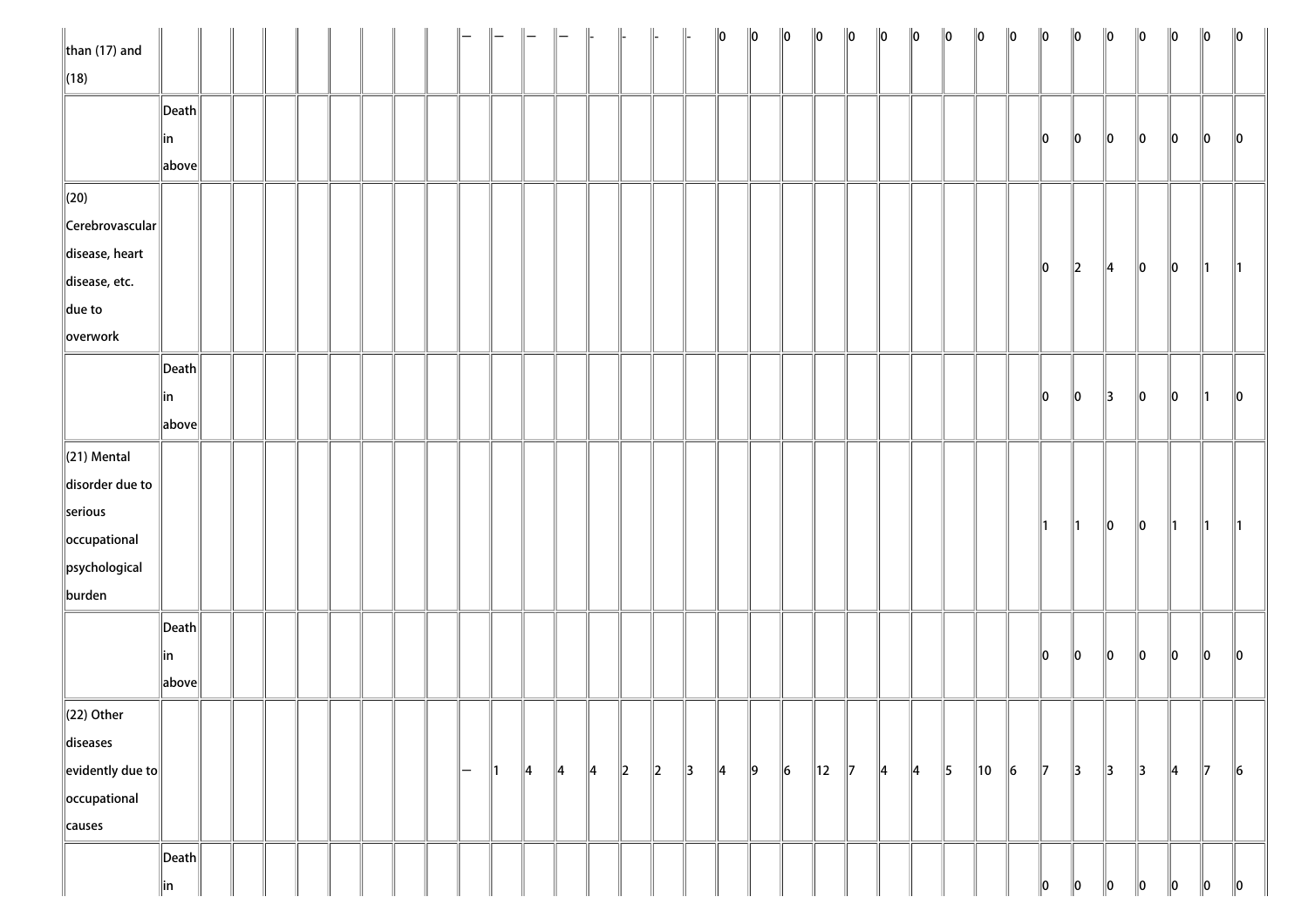| $\ $ than (17) and                          |                       |  |  |  |  |                     |               |               |               | $\parallel$   | $\parallel$ |         |               | $\ 0\ $       | $\ 0\ $ | $\ 0\ $ | $\ 0\ $        | $\ 0\ $       | $\ 0\ $       | $\ 0\ $       | $\ 0\ $       | $\ 0\ $ | $\ 0\ $ | $\ 0\ $       | $\ 0\ $       | $\ 0\ $       | $\ 0\ $       | $\ 0\ $       | 10            | $\ 0\ $       |
|---------------------------------------------|-----------------------|--|--|--|--|---------------------|---------------|---------------|---------------|---------------|-------------|---------|---------------|---------------|---------|---------|----------------|---------------|---------------|---------------|---------------|---------|---------|---------------|---------------|---------------|---------------|---------------|---------------|---------------|
| $\ $ (18)                                   |                       |  |  |  |  |                     |               |               |               |               |             |         |               |               |         |         |                |               |               |               |               |         |         |               |               |               |               |               |               |               |
|                                             | $\ $ Death $\ $       |  |  |  |  |                     |               |               |               |               |             |         |               |               |         |         |                |               |               |               |               |         |         |               |               |               |               |               |               |               |
|                                             | ∥in                   |  |  |  |  |                     |               |               |               |               |             |         |               |               |         |         |                |               |               |               |               |         |         | 10            | 10            | 10            | $\ 0\ $       | 10            | $\ 0\ $       | $\parallel$ 0 |
|                                             | above                 |  |  |  |  |                     |               |               |               |               |             |         |               |               |         |         |                |               |               |               |               |         |         |               |               |               |               |               |               |               |
| $\ $ (20)                                   |                       |  |  |  |  |                     |               |               |               |               |             |         |               |               |         |         |                |               |               |               |               |         |         |               |               |               |               |               |               |               |
| $\ $ Cerebrovascular $\ $                   |                       |  |  |  |  |                     |               |               |               |               |             |         |               |               |         |         |                |               |               |               |               |         |         |               |               |               |               |               |               |               |
| $\parallel$ disease, heart                  |                       |  |  |  |  |                     |               |               |               |               |             |         |               |               |         |         |                |               |               |               |               |         |         |               |               |               | 10            | $\ 0\ $       |               |               |
| disease, etc.                               |                       |  |  |  |  |                     |               |               |               |               |             |         |               |               |         |         |                |               |               |               |               |         |         | 10            | $\parallel$ 2 | 4             |               |               | 11            |               |
| $\ $ due to                                 |                       |  |  |  |  |                     |               |               |               |               |             |         |               |               |         |         |                |               |               |               |               |         |         |               |               |               |               |               |               |               |
| overwork                                    |                       |  |  |  |  |                     |               |               |               |               |             |         |               |               |         |         |                |               |               |               |               |         |         |               |               |               |               |               |               |               |
|                                             | $\vert$ Death $\vert$ |  |  |  |  |                     |               |               |               |               |             |         |               |               |         |         |                |               |               |               |               |         |         |               |               |               |               |               |               |               |
|                                             | ∥in                   |  |  |  |  |                     |               |               |               |               |             |         |               |               |         |         |                |               |               |               |               |         |         | 10            | $\ 0\ $       | 13            | $\parallel$ 0 | 10            | 11            | 10            |
|                                             | $\ $ above $\ $       |  |  |  |  |                     |               |               |               |               |             |         |               |               |         |         |                |               |               |               |               |         |         |               |               |               |               |               |               |               |
| $\ $ (21) Mental                            |                       |  |  |  |  |                     |               |               |               |               |             |         |               |               |         |         |                |               |               |               |               |         |         |               |               |               |               |               |               |               |
| disorder due to                             |                       |  |  |  |  |                     |               |               |               |               |             |         |               |               |         |         |                |               |               |               |               |         |         |               |               |               |               |               |               |               |
| serious                                     |                       |  |  |  |  |                     |               |               |               |               |             |         |               |               |         |         |                |               |               |               |               |         |         |               |               |               |               |               |               |               |
| occupational                                |                       |  |  |  |  |                     |               |               |               |               |             |         |               |               |         |         |                |               |               |               |               |         |         | 11            | ∥1            | $\ 0\ $       | $\ 0\ $       | 11            | 11            |               |
| psychological                               |                       |  |  |  |  |                     |               |               |               |               |             |         |               |               |         |         |                |               |               |               |               |         |         |               |               |               |               |               |               |               |
| burden                                      |                       |  |  |  |  |                     |               |               |               |               |             |         |               |               |         |         |                |               |               |               |               |         |         |               |               |               |               |               |               |               |
|                                             | $\ $ Death $\ $       |  |  |  |  |                     |               |               |               |               |             |         |               |               |         |         |                |               |               |               |               |         |         |               |               |               |               |               |               |               |
|                                             | ∥in                   |  |  |  |  |                     |               |               |               |               |             |         |               |               |         |         |                |               |               |               |               |         |         | 10            | $\ 0\ $       | 10            | $\ 0\ $       | 10            | $\ 0\ $       | $\parallel$ 0 |
|                                             | above                 |  |  |  |  |                     |               |               |               |               |             |         |               |               |         |         |                |               |               |               |               |         |         |               |               |               |               |               |               |               |
| $\ $ (22) Other                             |                       |  |  |  |  |                     |               |               |               |               |             |         |               |               |         |         |                |               |               |               |               |         |         |               |               |               |               |               |               |               |
| diseases                                    |                       |  |  |  |  |                     |               |               |               |               |             |         |               |               |         |         |                |               |               |               |               |         |         |               |               |               |               |               |               |               |
| $\left\Vert$ evidently due to $\right\Vert$ |                       |  |  |  |  | $\hspace{0.05cm} -$ | $\parallel$ 1 | $\parallel$ 4 | $\parallel$ 4 | $\parallel$ 4 | $\ 2\ $     | $\ 2\ $ | $\parallel$ 3 | $\parallel$ 4 | $\ 9\ $ | $\ 6\ $ | $\parallel$ 12 | $\parallel$ 7 | $\parallel$ 4 | $\parallel$ 4 | $\parallel$ 5 | 10      | $\ 6\ $ | $\parallel$ 7 | 3             | $\parallel$ 3 | $\parallel$ 3 | $\parallel$ 4 | $\parallel$ 7 | $\ 6$         |
| occupational                                |                       |  |  |  |  |                     |               |               |               |               |             |         |               |               |         |         |                |               |               |               |               |         |         |               |               |               |               |               |               |               |
| causes                                      |                       |  |  |  |  |                     |               |               |               |               |             |         |               |               |         |         |                |               |               |               |               |         |         |               |               |               |               |               |               |               |
|                                             | Death                 |  |  |  |  |                     |               |               |               |               |             |         |               |               |         |         |                |               |               |               |               |         |         |               |               |               |               |               |               |               |
|                                             | in                    |  |  |  |  |                     |               |               |               |               |             |         |               |               |         |         |                |               |               |               |               |         |         | 10            | 10            | 10            | 10            | 10            | 10            | $\ 0\ $<br>I  |